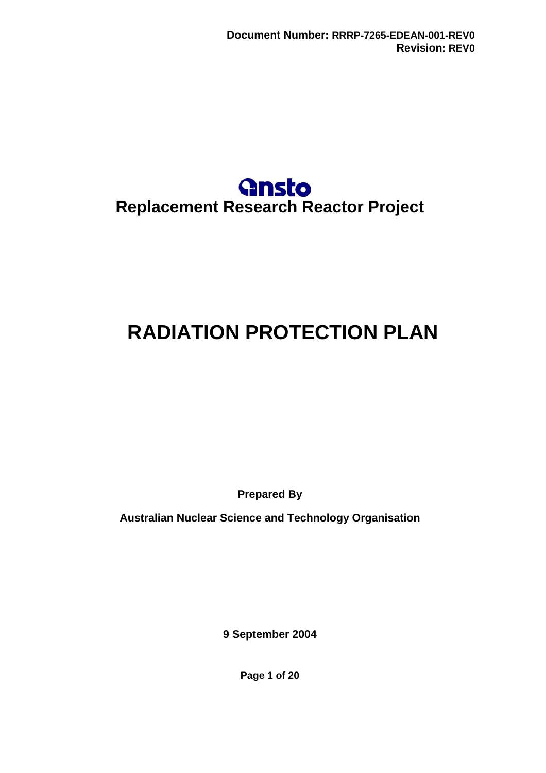

# <span id="page-0-0"></span>**RADIATION PROTECTION PLAN**

**Prepared By** 

**Australian Nuclear Science and Technology Organisation** 

**9 September 2004** 

**Page 1 of 20**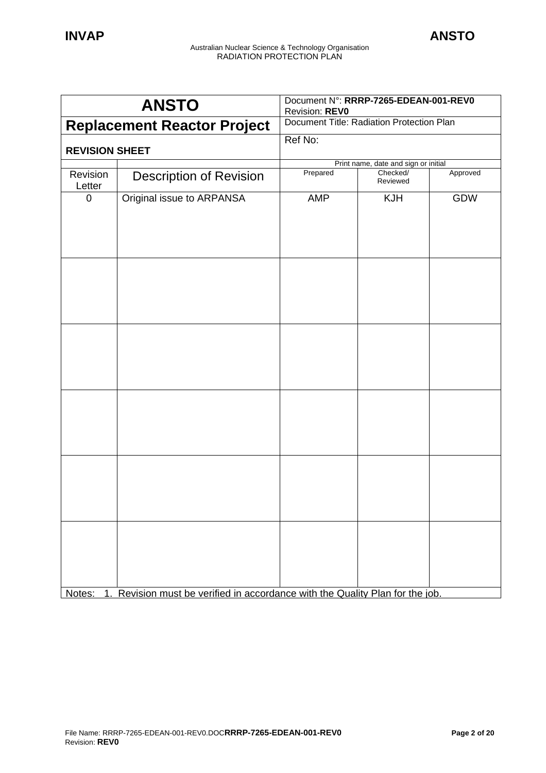|                       | Document N°: RRRP-7265-EDEAN-001-REV0<br><b>ANSTO</b><br>Revision: REVO              |                                           |                      |          |
|-----------------------|--------------------------------------------------------------------------------------|-------------------------------------------|----------------------|----------|
|                       | <b>Replacement Reactor Project</b>                                                   | Document Title: Radiation Protection Plan |                      |          |
|                       |                                                                                      | Ref No:                                   |                      |          |
| <b>REVISION SHEET</b> |                                                                                      |                                           |                      |          |
|                       |                                                                                      | Print name, date and sign or initial      |                      |          |
| Revision<br>Letter    | <b>Description of Revision</b>                                                       | Prepared                                  | Checked/<br>Reviewed | Approved |
| $\mathbf 0$           | Original issue to ARPANSA                                                            | AMP                                       | <b>KJH</b>           | GDW      |
|                       |                                                                                      |                                           |                      |          |
|                       |                                                                                      |                                           |                      |          |
|                       |                                                                                      |                                           |                      |          |
|                       |                                                                                      |                                           |                      |          |
|                       | Notes: 1. Revision must be verified in accordance with the Quality Plan for the job. |                                           |                      |          |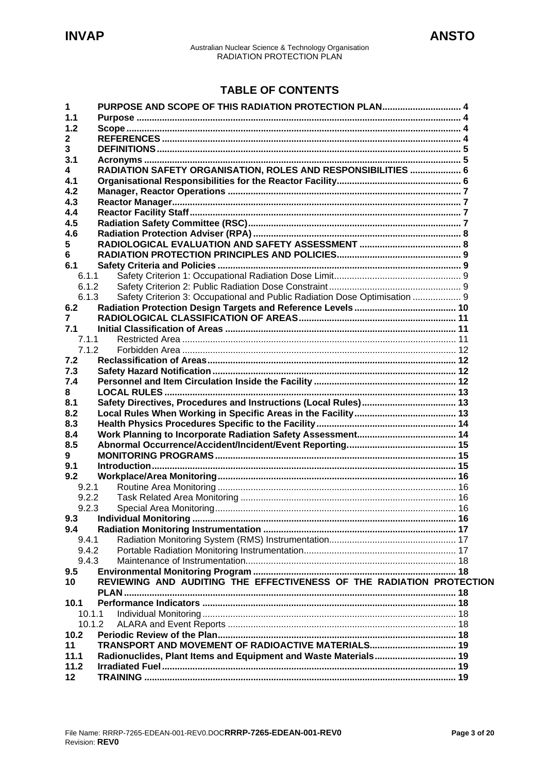# **TABLE OF CONTENTS**

| 1<br>1.1 | PURPOSE AND SCOPE OF THIS RADIATION PROTECTION PLAN 4                      |  |
|----------|----------------------------------------------------------------------------|--|
| 1.2      |                                                                            |  |
|          |                                                                            |  |
| 2        |                                                                            |  |
| 3        |                                                                            |  |
| 3.1      |                                                                            |  |
| 4        | RADIATION SAFETY ORGANISATION, ROLES AND RESPONSIBILITIES  6               |  |
| 4.1      |                                                                            |  |
| 4.2      |                                                                            |  |
| 4.3      |                                                                            |  |
| 4.4      |                                                                            |  |
| 4.5      |                                                                            |  |
| 4.6      |                                                                            |  |
| 5        |                                                                            |  |
| 6        |                                                                            |  |
| 6.1      |                                                                            |  |
| 6.1.1    |                                                                            |  |
| 6.1.2    |                                                                            |  |
| 6.1.3    | Safety Criterion 3: Occupational and Public Radiation Dose Optimisation  9 |  |
| 6.2      |                                                                            |  |
| 7        |                                                                            |  |
| 7.1      |                                                                            |  |
| 7.1.1    |                                                                            |  |
| 7.1.2    |                                                                            |  |
| 7.2      |                                                                            |  |
| 7.3      |                                                                            |  |
| 7.4      |                                                                            |  |
| 8        |                                                                            |  |
| 8.1      |                                                                            |  |
| 8.2      |                                                                            |  |
| 8.3      |                                                                            |  |
| 8.4      |                                                                            |  |
| 8.5      |                                                                            |  |
| 9        |                                                                            |  |
| 9.1      |                                                                            |  |
| 9.2      |                                                                            |  |
| 9.2.1    |                                                                            |  |
| 9.2.2    |                                                                            |  |
|          |                                                                            |  |
| 9.3      |                                                                            |  |
| 9.4      |                                                                            |  |
| 9.4.1    |                                                                            |  |
| 9.4.2    |                                                                            |  |
| 9.4.3    |                                                                            |  |
| 9.5      |                                                                            |  |
| 10       | REVIEWING AND AUDITING THE EFFECTIVENESS OF THE RADIATION PROTECTION       |  |
|          |                                                                            |  |
| 10.1     |                                                                            |  |
| 10.1.1   |                                                                            |  |
| 10.1.2   |                                                                            |  |
| 10.2     |                                                                            |  |
| 11       | TRANSPORT AND MOVEMENT OF RADIOACTIVE MATERIALS 19                         |  |
| 11.1     | Radionuclides, Plant Items and Equipment and Waste Materials 19            |  |
| 11.2     |                                                                            |  |
| 12       |                                                                            |  |
|          |                                                                            |  |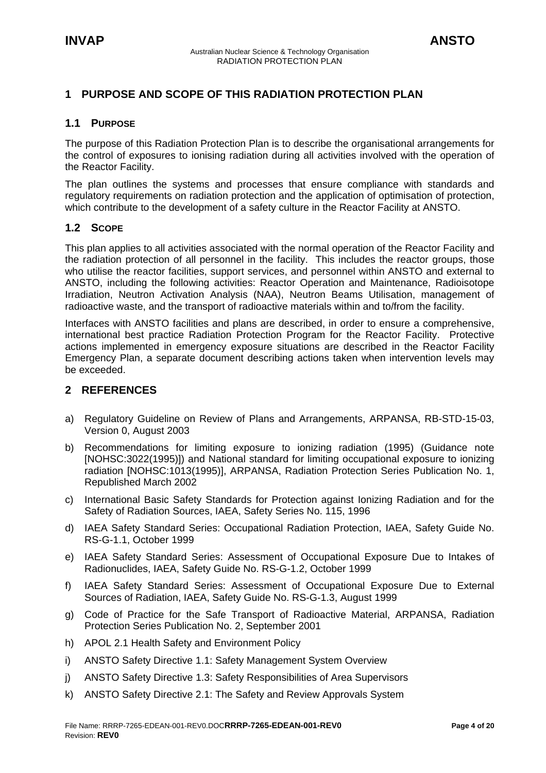# <span id="page-3-0"></span>**1 PURPOSE AND SCOPE OF THIS RADIATION PROTECTION PLAN**

# **1.1 PURPOSE**

The purpose of this Radiation Protection Plan is to describe the organisational arrangements for the control of exposures to ionising radiation during all activities involved with the operation of the Reactor Facility.

The plan outlines the systems and processes that ensure compliance with standards and regulatory requirements on radiation protection and the application of optimisation of protection, which contribute to the development of a safety culture in the Reactor Facility at ANSTO.

# **1.2 SCOPE**

This plan applies to all activities associated with the normal operation of the Reactor Facility and the radiation protection of all personnel in the facility. This includes the reactor groups, those who utilise the reactor facilities, support services, and personnel within ANSTO and external to ANSTO, including the following activities: Reactor Operation and Maintenance, Radioisotope Irradiation, Neutron Activation Analysis (NAA), Neutron Beams Utilisation, management of radioactive waste, and the transport of radioactive materials within and to/from the facility.

Interfaces with ANSTO facilities and plans are described, in order to ensure a comprehensive, international best practice Radiation Protection Program for the Reactor Facility. Protective actions implemented in emergency exposure situations are described in the Reactor Facility Emergency Plan, a separate document describing actions taken when intervention levels may be exceeded.

# **2 REFERENCES**

- a) Regulatory Guideline on Review of Plans and Arrangements, ARPANSA, RB-STD-15-03, Version 0, August 2003
- b) Recommendations for limiting exposure to ionizing radiation (1995) (Guidance note [NOHSC:3022(1995)]) and National standard for limiting occupational exposure to ionizing radiation [NOHSC:1013(1995)], ARPANSA, Radiation Protection Series Publication No. 1, Republished March 2002
- c) International Basic Safety Standards for Protection against Ionizing Radiation and for the Safety of Radiation Sources, IAEA, Safety Series No. 115, 1996
- d) IAEA Safety Standard Series: Occupational Radiation Protection, IAEA, Safety Guide No. RS-G-1.1, October 1999
- e) IAEA Safety Standard Series: Assessment of Occupational Exposure Due to Intakes of Radionuclides, IAEA, Safety Guide No. RS-G-1.2, October 1999
- f) IAEA Safety Standard Series: Assessment of Occupational Exposure Due to External Sources of Radiation, IAEA, Safety Guide No. RS-G-1.3, August 1999
- g) Code of Practice for the Safe Transport of Radioactive Material, ARPANSA, Radiation Protection Series Publication No. 2, September 2001
- h) APOL 2.1 Health Safety and Environment Policy
- i) ANSTO Safety Directive 1.1: Safety Management System Overview
- j) ANSTO Safety Directive 1.3: Safety Responsibilities of Area Supervisors
- k) ANSTO Safety Directive 2.1: The Safety and Review Approvals System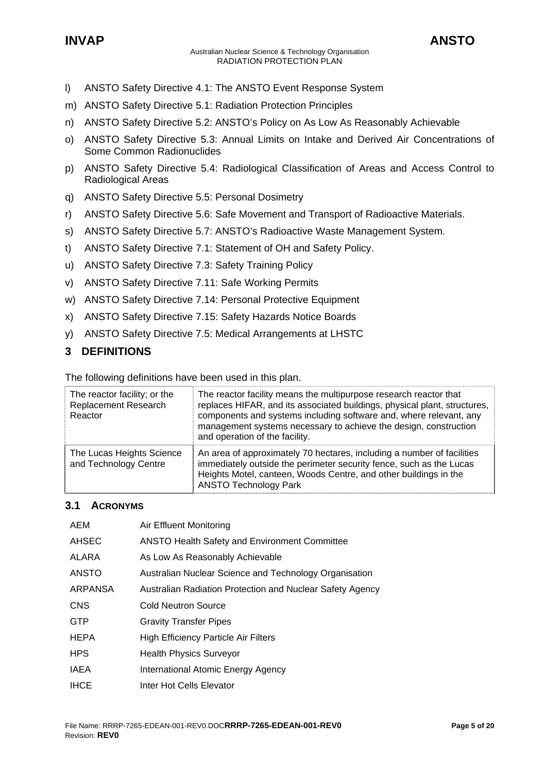<span id="page-4-0"></span>

- l) ANSTO Safety Directive 4.1: The ANSTO Event Response System
- m) ANSTO Safety Directive 5.1: Radiation Protection Principles
- n) ANSTO Safety Directive 5.2: ANSTO's Policy on As Low As Reasonably Achievable
- o) ANSTO Safety Directive 5.3: Annual Limits on Intake and Derived Air Concentrations of Some Common Radionuclides
- p) ANSTO Safety Directive 5.4: Radiological Classification of Areas and Access Control to Radiological Areas
- q) ANSTO Safety Directive 5.5: Personal Dosimetry
- r) ANSTO Safety Directive 5.6: Safe Movement and Transport of Radioactive Materials.
- s) ANSTO Safety Directive 5.7: ANSTO's Radioactive Waste Management System.
- t) ANSTO Safety Directive 7.1: Statement of OH and Safety Policy.
- u) ANSTO Safety Directive 7.3: Safety Training Policy
- v) ANSTO Safety Directive 7.11: Safe Working Permits
- w) ANSTO Safety Directive 7.14: Personal Protective Equipment
- x) ANSTO Safety Directive 7.15: Safety Hazards Notice Boards
- y) ANSTO Safety Directive 7.5: Medical Arrangements at LHSTC

# **3 DEFINITIONS**

The following definitions have been used in this plan.

| The reactor facility; or the<br><b>Replacement Research</b><br>Reactor | The reactor facility means the multipurpose research reactor that<br>replaces HIFAR, and its associated buildings, physical plant, structures,<br>components and systems including software and, where relevant, any<br>management systems necessary to achieve the design, construction<br>and operation of the facility. |
|------------------------------------------------------------------------|----------------------------------------------------------------------------------------------------------------------------------------------------------------------------------------------------------------------------------------------------------------------------------------------------------------------------|
| The Lucas Heights Science<br>and Technology Centre                     | An area of approximately 70 hectares, including a number of facilities<br>immediately outside the perimeter security fence, such as the Lucas<br>Heights Motel, canteen, Woods Centre, and other buildings in the<br><b>ANSTO Technology Park</b>                                                                          |

# **3.1 ACRONYMS**

| AEM            | Air Effluent Monitoring                                   |
|----------------|-----------------------------------------------------------|
| <b>AHSEC</b>   | <b>ANSTO Health Safety and Environment Committee</b>      |
| ALARA          | As Low As Reasonably Achievable                           |
| <b>ANSTO</b>   | Australian Nuclear Science and Technology Organisation    |
| <b>ARPANSA</b> | Australian Radiation Protection and Nuclear Safety Agency |
| <b>CNS</b>     | <b>Cold Neutron Source</b>                                |
| <b>GTP</b>     | <b>Gravity Transfer Pipes</b>                             |
| <b>HEPA</b>    | <b>High Efficiency Particle Air Filters</b>               |
| <b>HPS</b>     | <b>Health Physics Surveyor</b>                            |
| IAEA           | International Atomic Energy Agency                        |
| <b>IHCE</b>    | Inter Hot Cells Elevator                                  |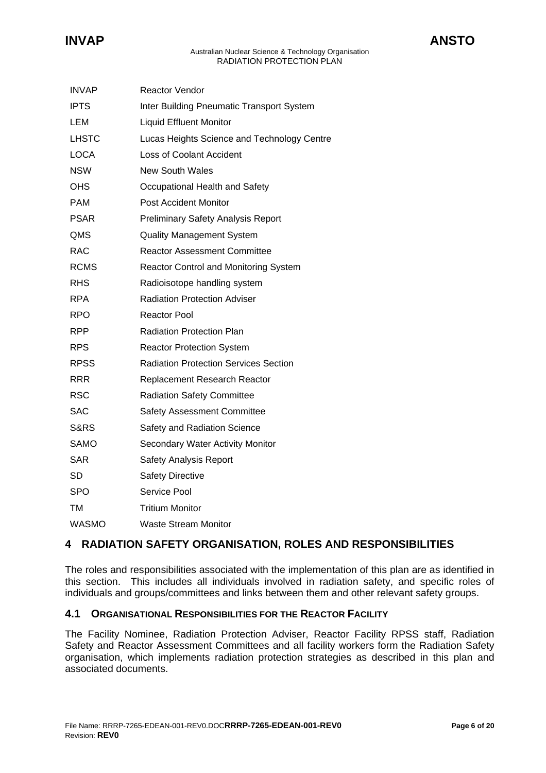<span id="page-5-0"></span>

| <b>INVAP</b>    | Reactor Vendor                                   |
|-----------------|--------------------------------------------------|
| <b>IPTS</b>     | <b>Inter Building Pneumatic Transport System</b> |
| LEM             | <b>Liquid Effluent Monitor</b>                   |
| <b>LHSTC</b>    | Lucas Heights Science and Technology Centre      |
| <b>LOCA</b>     | <b>Loss of Coolant Accident</b>                  |
| <b>NSW</b>      | <b>New South Wales</b>                           |
| OHS             | Occupational Health and Safety                   |
| <b>PAM</b>      | <b>Post Accident Monitor</b>                     |
| <b>PSAR</b>     | <b>Preliminary Safety Analysis Report</b>        |
| QMS             | <b>Quality Management System</b>                 |
| RAC             | <b>Reactor Assessment Committee</b>              |
| <b>RCMS</b>     | Reactor Control and Monitoring System            |
| RHS             | Radioisotope handling system                     |
| <b>RPA</b>      | <b>Radiation Protection Adviser</b>              |
| <b>RPO</b>      | Reactor Pool                                     |
| <b>RPP</b>      | <b>Radiation Protection Plan</b>                 |
| <b>RPS</b>      | <b>Reactor Protection System</b>                 |
| <b>RPSS</b>     | <b>Radiation Protection Services Section</b>     |
| RRR             | Replacement Research Reactor                     |
| RSC             | <b>Radiation Safety Committee</b>                |
| SAC             | <b>Safety Assessment Committee</b>               |
| <b>S&amp;RS</b> | Safety and Radiation Science                     |
| <b>SAMO</b>     | Secondary Water Activity Monitor                 |
| SAR             | <b>Safety Analysis Report</b>                    |
| <b>SD</b>       | <b>Safety Directive</b>                          |
| <b>SPO</b>      | <b>Service Pool</b>                              |
| ТM              | <b>Tritium Monitor</b>                           |
| <b>WASMO</b>    | <b>Waste Stream Monitor</b>                      |

# **4 RADIATION SAFETY ORGANISATION, ROLES AND RESPONSIBILITIES**

The roles and responsibilities associated with the implementation of this plan are as identified in this section. This includes all individuals involved in radiation safety, and specific roles of individuals and groups/committees and links between them and other relevant safety groups.

# **4.1 ORGANISATIONAL RESPONSIBILITIES FOR THE REACTOR FACILITY**

The Facility Nominee, Radiation Protection Adviser, Reactor Facility RPSS staff, Radiation Safety and Reactor Assessment Committees and all facility workers form the Radiation Safety organisation, which implements radiation protection strategies as described in this plan and associated documents.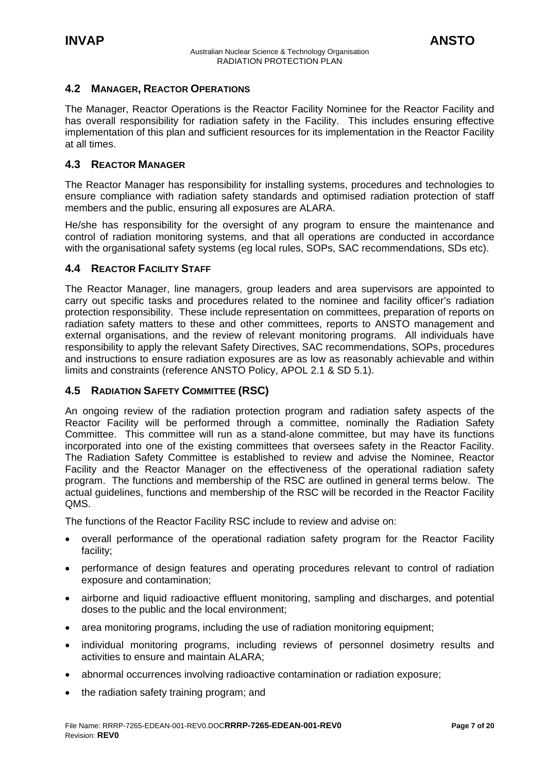# <span id="page-6-0"></span>**4.2 MANAGER, REACTOR OPERATIONS**

The Manager, Reactor Operations is the Reactor Facility Nominee for the Reactor Facility and has overall responsibility for radiation safety in the Facility. This includes ensuring effective implementation of this plan and sufficient resources for its implementation in the Reactor Facility at all times.

# **4.3 REACTOR MANAGER**

The Reactor Manager has responsibility for installing systems, procedures and technologies to ensure compliance with radiation safety standards and optimised radiation protection of staff members and the public, ensuring all exposures are ALARA.

He/she has responsibility for the oversight of any program to ensure the maintenance and control of radiation monitoring systems, and that all operations are conducted in accordance with the organisational safety systems (eg local rules, SOPs, SAC recommendations, SDs etc).

#### **4.4 REACTOR FACILITY STAFF**

The Reactor Manager, line managers, group leaders and area supervisors are appointed to carry out specific tasks and procedures related to the nominee and facility officer's radiation protection responsibility. These include representation on committees, preparation of reports on radiation safety matters to these and other committees, reports to ANSTO management and external organisations, and the review of relevant monitoring programs. All individuals have responsibility to apply the relevant Safety Directives, SAC recommendations, SOPs, procedures and instructions to ensure radiation exposures are as low as reasonably achievable and within limits and constraints (reference ANSTO Policy, APOL 2.1 & SD 5.1).

#### **4.5 RADIATION SAFETY COMMITTEE (RSC)**

An ongoing review of the radiation protection program and radiation safety aspects of the Reactor Facility will be performed through a committee, nominally the Radiation Safety Committee. This committee will run as a stand-alone committee, but may have its functions incorporated into one of the existing committees that oversees safety in the Reactor Facility. The Radiation Safety Committee is established to review and advise the Nominee, Reactor Facility and the Reactor Manager on the effectiveness of the operational radiation safety program. The functions and membership of the RSC are outlined in general terms below. The actual guidelines, functions and membership of the RSC will be recorded in the Reactor Facility QMS.

The functions of the Reactor Facility RSC include to review and advise on:

- overall performance of the operational radiation safety program for the Reactor Facility facility;
- performance of design features and operating procedures relevant to control of radiation exposure and contamination;
- airborne and liquid radioactive effluent monitoring, sampling and discharges, and potential doses to the public and the local environment;
- area monitoring programs, including the use of radiation monitoring equipment;
- individual monitoring programs, including reviews of personnel dosimetry results and activities to ensure and maintain ALARA;
- abnormal occurrences involving radioactive contamination or radiation exposure;
- the radiation safety training program; and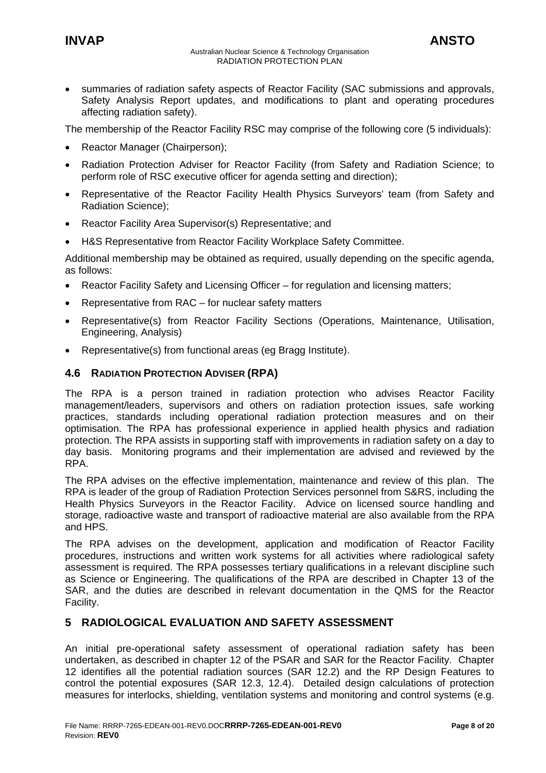<span id="page-7-0"></span>• summaries of radiation safety aspects of Reactor Facility (SAC submissions and approvals, Safety Analysis Report updates, and modifications to plant and operating procedures affecting radiation safety).

The membership of the Reactor Facility RSC may comprise of the following core (5 individuals):

- Reactor Manager (Chairperson);
- Radiation Protection Adviser for Reactor Facility (from Safety and Radiation Science; to perform role of RSC executive officer for agenda setting and direction);
- Representative of the Reactor Facility Health Physics Surveyors' team (from Safety and Radiation Science);
- Reactor Facility Area Supervisor(s) Representative; and
- H&S Representative from Reactor Facility Workplace Safety Committee.

Additional membership may be obtained as required, usually depending on the specific agenda, as follows:

- Reactor Facility Safety and Licensing Officer for regulation and licensing matters;
- Representative from RAC for nuclear safety matters
- Representative(s) from Reactor Facility Sections (Operations, Maintenance, Utilisation, Engineering, Analysis)
- Representative(s) from functional areas (eg Bragg Institute).

# **4.6 RADIATION PROTECTION ADVISER (RPA)**

The RPA is a person trained in radiation protection who advises Reactor Facility management/leaders, supervisors and others on radiation protection issues, safe working practices, standards including operational radiation protection measures and on their optimisation. The RPA has professional experience in applied health physics and radiation protection. The RPA assists in supporting staff with improvements in radiation safety on a day to day basis. Monitoring programs and their implementation are advised and reviewed by the RPA.

The RPA advises on the effective implementation, maintenance and review of this plan. The RPA is leader of the group of Radiation Protection Services personnel from S&RS, including the Health Physics Surveyors in the Reactor Facility. Advice on licensed source handling and storage, radioactive waste and transport of radioactive material are also available from the RPA and HPS.

The RPA advises on the development, application and modification of Reactor Facility procedures, instructions and written work systems for all activities where radiological safety assessment is required. The RPA possesses tertiary qualifications in a relevant discipline such as Science or Engineering. The qualifications of the RPA are described in Chapter 13 of the SAR, and the duties are described in relevant documentation in the QMS for the Reactor Facility.

# **5 RADIOLOGICAL EVALUATION AND SAFETY ASSESSMENT**

An initial pre-operational safety assessment of operational radiation safety has been undertaken, as described in chapter 12 of the PSAR and SAR for the Reactor Facility. Chapter 12 identifies all the potential radiation sources (SAR 12.2) and the RP Design Features to control the potential exposures (SAR 12.3, 12.4). Detailed design calculations of protection measures for interlocks, shielding, ventilation systems and monitoring and control systems (e.g.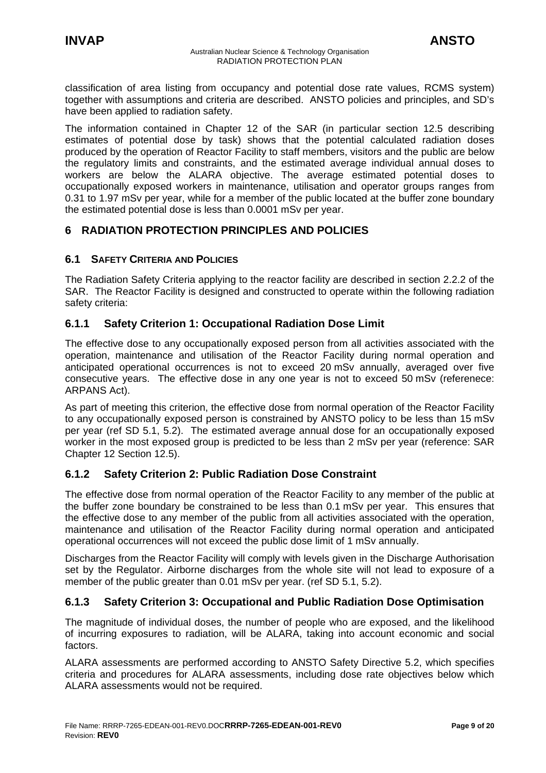<span id="page-8-0"></span>classification of area listing from occupancy and potential dose rate values, RCMS system) together with assumptions and criteria are described. ANSTO policies and principles, and SD's have been applied to radiation safety.

The information contained in Chapter 12 of the SAR (in particular section 12.5 describing estimates of potential dose by task) shows that the potential calculated radiation doses produced by the operation of Reactor Facility to staff members, visitors and the public are below the regulatory limits and constraints, and the estimated average individual annual doses to workers are below the ALARA objective. The average estimated potential doses to occupationally exposed workers in maintenance, utilisation and operator groups ranges from 0.31 to 1.97 mSv per year, while for a member of the public located at the buffer zone boundary the estimated potential dose is less than 0.0001 mSv per year.

# **6 RADIATION PROTECTION PRINCIPLES AND POLICIES**

# **6.1 SAFETY CRITERIA AND POLICIES**

The Radiation Safety Criteria applying to the reactor facility are described in section 2.2.2 of the SAR. The Reactor Facility is designed and constructed to operate within the following radiation safety criteria:

# **6.1.1 Safety Criterion 1: Occupational Radiation Dose Limit**

The effective dose to any occupationally exposed person from all activities associated with the operation, maintenance and utilisation of the Reactor Facility during normal operation and anticipated operational occurrences is not to exceed 20 mSv annually, averaged over five consecutive years. The effective dose in any one year is not to exceed 50 mSv (referenece: ARPANS Act).

As part of meeting this criterion, the effective dose from normal operation of the Reactor Facility to any occupationally exposed person is constrained by ANSTO policy to be less than 15 mSv per year (ref SD 5.1, 5.2). The estimated average annual dose for an occupationally exposed worker in the most exposed group is predicted to be less than 2 mSv per year (reference: SAR Chapter 12 Section 12.5).

# **6.1.2 Safety Criterion 2: Public Radiation Dose Constraint**

The effective dose from normal operation of the Reactor Facility to any member of the public at the buffer zone boundary be constrained to be less than 0.1 mSv per year. This ensures that the effective dose to any member of the public from all activities associated with the operation, maintenance and utilisation of the Reactor Facility during normal operation and anticipated operational occurrences will not exceed the public dose limit of 1 mSv annually.

Discharges from the Reactor Facility will comply with levels given in the Discharge Authorisation set by the Regulator. Airborne discharges from the whole site will not lead to exposure of a member of the public greater than 0.01 mSv per year. (ref SD 5.1, 5.2).

# **6.1.3 Safety Criterion 3: Occupational and Public Radiation Dose Optimisation**

The magnitude of individual doses, the number of people who are exposed, and the likelihood of incurring exposures to radiation, will be ALARA, taking into account economic and social factors.

ALARA assessments are performed according to ANSTO Safety Directive 5.2, which specifies criteria and procedures for ALARA assessments, including dose rate objectives below which ALARA assessments would not be required.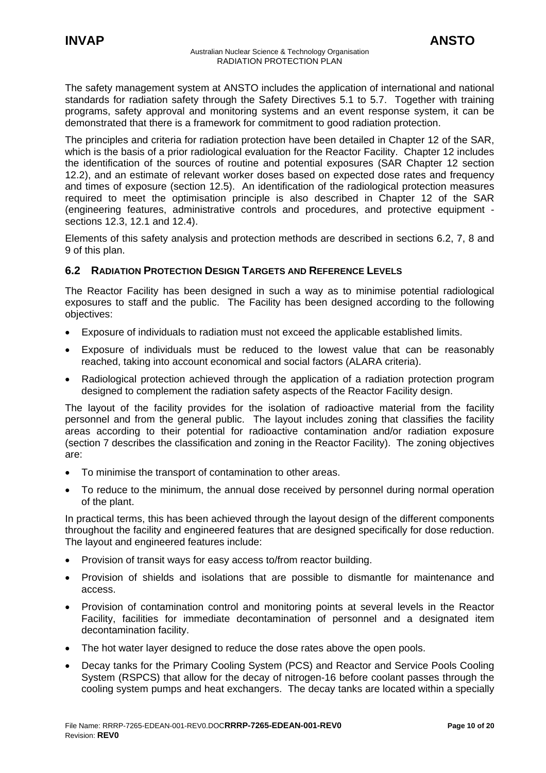<span id="page-9-0"></span>The safety management system at ANSTO includes the application of international and national standards for radiation safety through the Safety Directives 5.1 to 5.7. Together with training programs, safety approval and monitoring systems and an event response system, it can be demonstrated that there is a framework for commitment to good radiation protection.

The principles and criteria for radiation protection have been detailed in Chapter 12 of the SAR, which is the basis of a prior radiological evaluation for the Reactor Facility. Chapter 12 includes the identification of the sources of routine and potential exposures (SAR Chapter 12 section 12.2), and an estimate of relevant worker doses based on expected dose rates and frequency and times of exposure (section 12.5). An identification of the radiological protection measures required to meet the optimisation principle is also described in Chapter 12 of the SAR (engineering features, administrative controls and procedures, and protective equipment sections 12.3, 12.1 and 12.4).

Elements of this safety analysis and protection methods are described in sections 6.2, 7, 8 and 9 of this plan.

# **6.2 RADIATION PROTECTION DESIGN TARGETS AND REFERENCE LEVELS**

The Reactor Facility has been designed in such a way as to minimise potential radiological exposures to staff and the public. The Facility has been designed according to the following objectives:

- Exposure of individuals to radiation must not exceed the applicable established limits.
- Exposure of individuals must be reduced to the lowest value that can be reasonably reached, taking into account economical and social factors (ALARA criteria).
- Radiological protection achieved through the application of a radiation protection program designed to complement the radiation safety aspects of the Reactor Facility design.

The layout of the facility provides for the isolation of radioactive material from the facility personnel and from the general public. The layout includes zoning that classifies the facility areas according to their potential for radioactive contamination and/or radiation exposure (section 7 describes the classification and zoning in the Reactor Facility). The zoning objectives are:

- To minimise the transport of contamination to other areas.
- To reduce to the minimum, the annual dose received by personnel during normal operation of the plant.

In practical terms, this has been achieved through the layout design of the different components throughout the facility and engineered features that are designed specifically for dose reduction. The layout and engineered features include:

- Provision of transit ways for easy access to/from reactor building.
- Provision of shields and isolations that are possible to dismantle for maintenance and access.
- Provision of contamination control and monitoring points at several levels in the Reactor Facility, facilities for immediate decontamination of personnel and a designated item decontamination facility.
- The hot water layer designed to reduce the dose rates above the open pools.
- Decay tanks for the Primary Cooling System (PCS) and Reactor and Service Pools Cooling System (RSPCS) that allow for the decay of nitrogen-16 before coolant passes through the cooling system pumps and heat exchangers. The decay tanks are located within a specially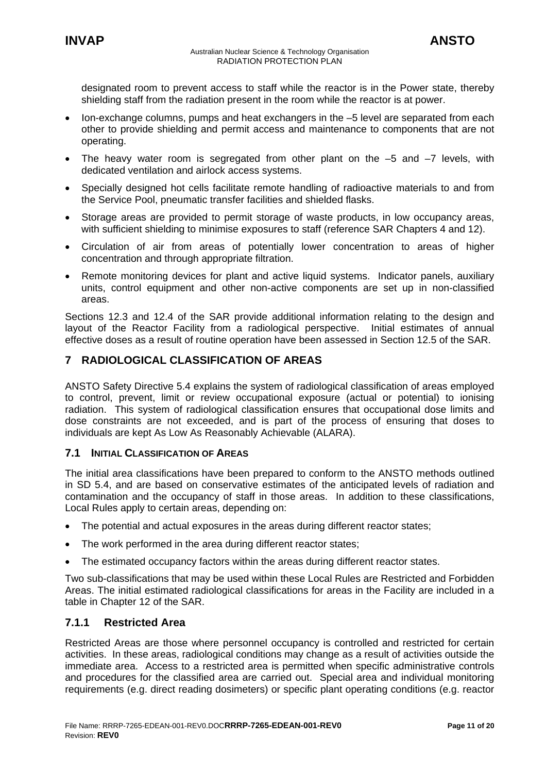<span id="page-10-0"></span>designated room to prevent access to staff while the reactor is in the Power state, thereby shielding staff from the radiation present in the room while the reactor is at power.

- Ion-exchange columns, pumps and heat exchangers in the –5 level are separated from each other to provide shielding and permit access and maintenance to components that are not operating.
- The heavy water room is segregated from other plant on the  $-5$  and  $-7$  levels, with dedicated ventilation and airlock access systems.
- Specially designed hot cells facilitate remote handling of radioactive materials to and from the Service Pool, pneumatic transfer facilities and shielded flasks.
- Storage areas are provided to permit storage of waste products, in low occupancy areas, with sufficient shielding to minimise exposures to staff (reference SAR Chapters 4 and 12).
- Circulation of air from areas of potentially lower concentration to areas of higher concentration and through appropriate filtration.
- Remote monitoring devices for plant and active liquid systems. Indicator panels, auxiliary units, control equipment and other non-active components are set up in non-classified areas.

Sections 12.3 and 12.4 of the SAR provide additional information relating to the design and layout of the Reactor Facility from a radiological perspective. Initial estimates of annual effective doses as a result of routine operation have been assessed in Section 12.5 of the SAR.

# **7 RADIOLOGICAL CLASSIFICATION OF AREAS**

ANSTO Safety Directive 5.4 explains the system of radiological classification of areas employed to control, prevent, limit or review occupational exposure (actual or potential) to ionising radiation. This system of radiological classification ensures that occupational dose limits and dose constraints are not exceeded, and is part of the process of ensuring that doses to individuals are kept As Low As Reasonably Achievable (ALARA).

# **7.1 INITIAL CLASSIFICATION OF AREAS**

The initial area classifications have been prepared to conform to the ANSTO methods outlined in SD 5.4, and are based on conservative estimates of the anticipated levels of radiation and contamination and the occupancy of staff in those areas. In addition to these classifications, Local Rules apply to certain areas, depending on:

- The potential and actual exposures in the areas during different reactor states;
- The work performed in the area during different reactor states;
- The estimated occupancy factors within the areas during different reactor states.

Two sub-classifications that may be used within these Local Rules are Restricted and Forbidden Areas. The initial estimated radiological classifications for areas in the Facility are included in a table in Chapter 12 of the SAR.

# **7.1.1 Restricted Area**

Restricted Areas are those where personnel occupancy is controlled and restricted for certain activities. In these areas, radiological conditions may change as a result of activities outside the immediate area. Access to a restricted area is permitted when specific administrative controls and procedures for the classified area are carried out. Special area and individual monitoring requirements (e.g. direct reading dosimeters) or specific plant operating conditions (e.g. reactor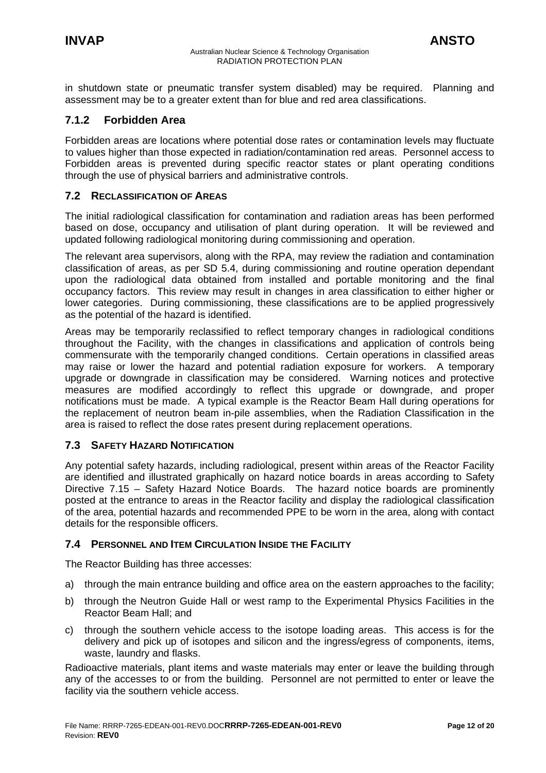<span id="page-11-0"></span>in shutdown state or pneumatic transfer system disabled) may be required. Planning and assessment may be to a greater extent than for blue and red area classifications.

# **7.1.2 Forbidden Area**

Forbidden areas are locations where potential dose rates or contamination levels may fluctuate to values higher than those expected in radiation/contamination red areas. Personnel access to Forbidden areas is prevented during specific reactor states or plant operating conditions through the use of physical barriers and administrative controls.

#### **7.2 RECLASSIFICATION OF AREAS**

The initial radiological classification for contamination and radiation areas has been performed based on dose, occupancy and utilisation of plant during operation. It will be reviewed and updated following radiological monitoring during commissioning and operation.

The relevant area supervisors, along with the RPA, may review the radiation and contamination classification of areas, as per SD 5.4, during commissioning and routine operation dependant upon the radiological data obtained from installed and portable monitoring and the final occupancy factors. This review may result in changes in area classification to either higher or lower categories. During commissioning, these classifications are to be applied progressively as the potential of the hazard is identified.

Areas may be temporarily reclassified to reflect temporary changes in radiological conditions throughout the Facility, with the changes in classifications and application of controls being commensurate with the temporarily changed conditions. Certain operations in classified areas may raise or lower the hazard and potential radiation exposure for workers. A temporary upgrade or downgrade in classification may be considered. Warning notices and protective measures are modified accordingly to reflect this upgrade or downgrade, and proper notifications must be made. A typical example is the Reactor Beam Hall during operations for the replacement of neutron beam in-pile assemblies, when the Radiation Classification in the area is raised to reflect the dose rates present during replacement operations.

# **7.3 SAFETY HAZARD NOTIFICATION**

Any potential safety hazards, including radiological, present within areas of the Reactor Facility are identified and illustrated graphically on hazard notice boards in areas according to Safety Directive 7.15 – Safety Hazard Notice Boards. The hazard notice boards are prominently posted at the entrance to areas in the Reactor facility and display the radiological classification of the area, potential hazards and recommended PPE to be worn in the area, along with contact details for the responsible officers.

# **7.4 PERSONNEL AND ITEM CIRCULATION INSIDE THE FACILITY**

The Reactor Building has three accesses:

- a) through the main entrance building and office area on the eastern approaches to the facility;
- b) through the Neutron Guide Hall or west ramp to the Experimental Physics Facilities in the Reactor Beam Hall; and
- c) through the southern vehicle access to the isotope loading areas. This access is for the delivery and pick up of isotopes and silicon and the ingress/egress of components, items, waste, laundry and flasks.

Radioactive materials, plant items and waste materials may enter or leave the building through any of the accesses to or from the building. Personnel are not permitted to enter or leave the facility via the southern vehicle access.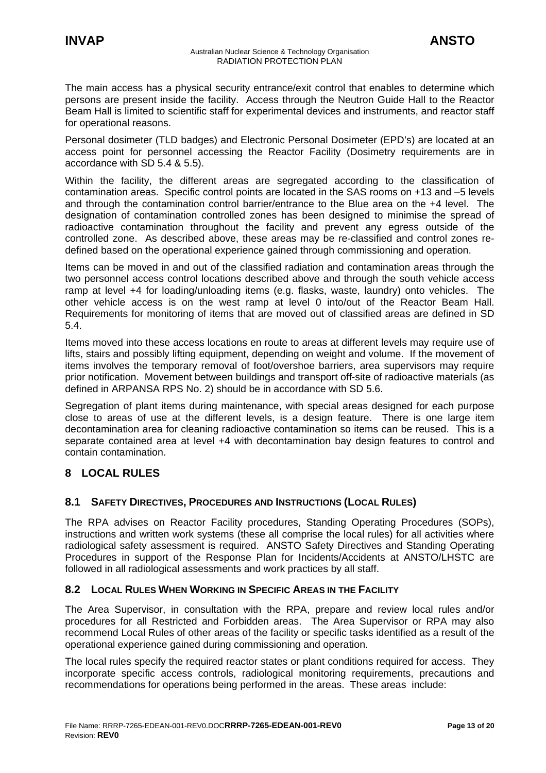<span id="page-12-0"></span>The main access has a physical security entrance/exit control that enables to determine which persons are present inside the facility. Access through the Neutron Guide Hall to the Reactor Beam Hall is limited to scientific staff for experimental devices and instruments, and reactor staff for operational reasons.

Personal dosimeter (TLD badges) and Electronic Personal Dosimeter (EPD's) are located at an access point for personnel accessing the Reactor Facility (Dosimetry requirements are in accordance with SD 5.4 & 5.5).

Within the facility, the different areas are segregated according to the classification of contamination areas. Specific control points are located in the SAS rooms on +13 and –5 levels and through the contamination control barrier/entrance to the Blue area on the +4 level. The designation of contamination controlled zones has been designed to minimise the spread of radioactive contamination throughout the facility and prevent any egress outside of the controlled zone. As described above, these areas may be re-classified and control zones redefined based on the operational experience gained through commissioning and operation.

Items can be moved in and out of the classified radiation and contamination areas through the two personnel access control locations described above and through the south vehicle access ramp at level +4 for loading/unloading items (e.g. flasks, waste, laundry) onto vehicles. The other vehicle access is on the west ramp at level 0 into/out of the Reactor Beam Hall. Requirements for monitoring of items that are moved out of classified areas are defined in SD 5.4.

Items moved into these access locations en route to areas at different levels may require use of lifts, stairs and possibly lifting equipment, depending on weight and volume. If the movement of items involves the temporary removal of foot/overshoe barriers, area supervisors may require prior notification. Movement between buildings and transport off-site of radioactive materials (as defined in ARPANSA RPS No. 2) should be in accordance with SD 5.6.

Segregation of plant items during maintenance, with special areas designed for each purpose close to areas of use at the different levels, is a design feature. There is one large item decontamination area for cleaning radioactive contamination so items can be reused. This is a separate contained area at level +4 with decontamination bay design features to control and contain contamination.

# **8 LOCAL RULES**

# **8.1 SAFETY DIRECTIVES, PROCEDURES AND INSTRUCTIONS (LOCAL RULES)**

The RPA advises on Reactor Facility procedures, Standing Operating Procedures (SOPs), instructions and written work systems (these all comprise the local rules) for all activities where radiological safety assessment is required. ANSTO Safety Directives and Standing Operating Procedures in support of the Response Plan for Incidents/Accidents at ANSTO/LHSTC are followed in all radiological assessments and work practices by all staff.

# **8.2 LOCAL RULES WHEN WORKING IN SPECIFIC AREAS IN THE FACILITY**

The Area Supervisor, in consultation with the RPA, prepare and review local rules and/or procedures for all Restricted and Forbidden areas. The Area Supervisor or RPA may also recommend Local Rules of other areas of the facility or specific tasks identified as a result of the operational experience gained during commissioning and operation.

The local rules specify the required reactor states or plant conditions required for access. They incorporate specific access controls, radiological monitoring requirements, precautions and recommendations for operations being performed in the areas. These areas include: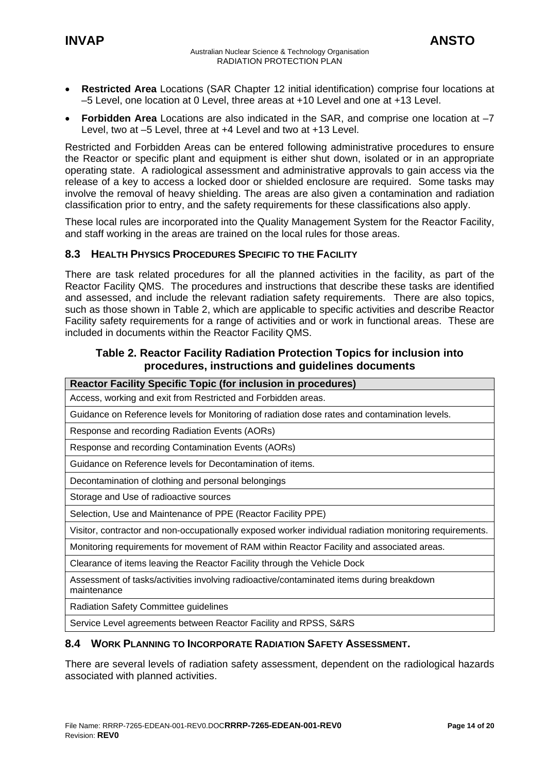- <span id="page-13-0"></span>• **Restricted Area** Locations (SAR Chapter 12 initial identification) comprise four locations at –5 Level, one location at 0 Level, three areas at +10 Level and one at +13 Level.
- **Forbidden Area** Locations are also indicated in the SAR, and comprise one location at –7 Level, two at –5 Level, three at +4 Level and two at +13 Level.

Restricted and Forbidden Areas can be entered following administrative procedures to ensure the Reactor or specific plant and equipment is either shut down, isolated or in an appropriate operating state. A radiological assessment and administrative approvals to gain access via the release of a key to access a locked door or shielded enclosure are required. Some tasks may involve the removal of heavy shielding. The areas are also given a contamination and radiation classification prior to entry, and the safety requirements for these classifications also apply.

These local rules are incorporated into the Quality Management System for the Reactor Facility, and staff working in the areas are trained on the local rules for those areas.

# **8.3 HEALTH PHYSICS PROCEDURES SPECIFIC TO THE FACILITY**

There are task related procedures for all the planned activities in the facility, as part of the Reactor Facility QMS. The procedures and instructions that describe these tasks are identified and assessed, and include the relevant radiation safety requirements. There are also topics, such as those shown in Table 2, which are applicable to specific activities and describe Reactor Facility safety requirements for a range of activities and or work in functional areas. These are included in documents within the Reactor Facility QMS.

# **Table 2. Reactor Facility Radiation Protection Topics for inclusion into procedures, instructions and guidelines documents**

| <b>Reactor Facility Specific Topic (for inclusion in procedures)</b>                                    |  |  |
|---------------------------------------------------------------------------------------------------------|--|--|
| Access, working and exit from Restricted and Forbidden areas.                                           |  |  |
| Guidance on Reference levels for Monitoring of radiation dose rates and contamination levels.           |  |  |
| Response and recording Radiation Events (AORs)                                                          |  |  |
| Response and recording Contamination Events (AORs)                                                      |  |  |
| Guidance on Reference levels for Decontamination of items.                                              |  |  |
| Decontamination of clothing and personal belongings                                                     |  |  |
| Storage and Use of radioactive sources                                                                  |  |  |
| Selection, Use and Maintenance of PPE (Reactor Facility PPE)                                            |  |  |
| Visitor, contractor and non-occupationally exposed worker individual radiation monitoring requirements. |  |  |
| Monitoring requirements for movement of RAM within Reactor Facility and associated areas.               |  |  |
| Clearance of items leaving the Reactor Facility through the Vehicle Dock                                |  |  |
| Assessment of tasks/activities involving radioactive/contaminated items during breakdown<br>maintenance |  |  |
| <b>Radiation Safety Committee guidelines</b>                                                            |  |  |

Service Level agreements between Reactor Facility and RPSS, S&RS

# **8.4 WORK PLANNING TO INCORPORATE RADIATION SAFETY ASSESSMENT.**

There are several levels of radiation safety assessment, dependent on the radiological hazards associated with planned activities.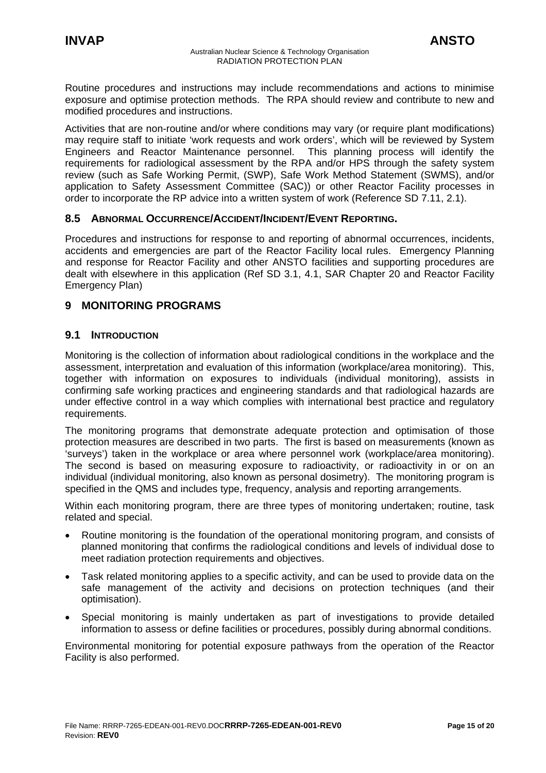<span id="page-14-0"></span>Routine procedures and instructions may include recommendations and actions to minimise exposure and optimise protection methods. The RPA should review and contribute to new and modified procedures and instructions.

Activities that are non-routine and/or where conditions may vary (or require plant modifications) may require staff to initiate 'work requests and work orders', which will be reviewed by System Engineers and Reactor Maintenance personnel. This planning process will identify the requirements for radiological assessment by the RPA and/or HPS through the safety system review (such as Safe Working Permit, (SWP), Safe Work Method Statement (SWMS), and/or application to Safety Assessment Committee (SAC)) or other Reactor Facility processes in order to incorporate the RP advice into a written system of work (Reference SD 7.11, 2.1).

# **8.5 ABNORMAL OCCURRENCE/ACCIDENT/INCIDENT/EVENT REPORTING.**

Procedures and instructions for response to and reporting of abnormal occurrences, incidents, accidents and emergencies are part of the Reactor Facility local rules. Emergency Planning and response for Reactor Facility and other ANSTO facilities and supporting procedures are dealt with elsewhere in this application (Ref SD 3.1, 4.1, SAR Chapter 20 and Reactor Facility Emergency Plan)

# **9 MONITORING PROGRAMS**

# **9.1 INTRODUCTION**

Monitoring is the collection of information about radiological conditions in the workplace and the assessment, interpretation and evaluation of this information (workplace/area monitoring). This, together with information on exposures to individuals (individual monitoring), assists in confirming safe working practices and engineering standards and that radiological hazards are under effective control in a way which complies with international best practice and regulatory requirements.

The monitoring programs that demonstrate adequate protection and optimisation of those protection measures are described in two parts. The first is based on measurements (known as 'surveys') taken in the workplace or area where personnel work (workplace/area monitoring). The second is based on measuring exposure to radioactivity, or radioactivity in or on an individual (individual monitoring, also known as personal dosimetry). The monitoring program is specified in the QMS and includes type, frequency, analysis and reporting arrangements.

Within each monitoring program, there are three types of monitoring undertaken; routine, task related and special.

- Routine monitoring is the foundation of the operational monitoring program, and consists of planned monitoring that confirms the radiological conditions and levels of individual dose to meet radiation protection requirements and objectives.
- Task related monitoring applies to a specific activity, and can be used to provide data on the safe management of the activity and decisions on protection techniques (and their optimisation).
- Special monitoring is mainly undertaken as part of investigations to provide detailed information to assess or define facilities or procedures, possibly during abnormal conditions.

Environmental monitoring for potential exposure pathways from the operation of the Reactor Facility is also performed.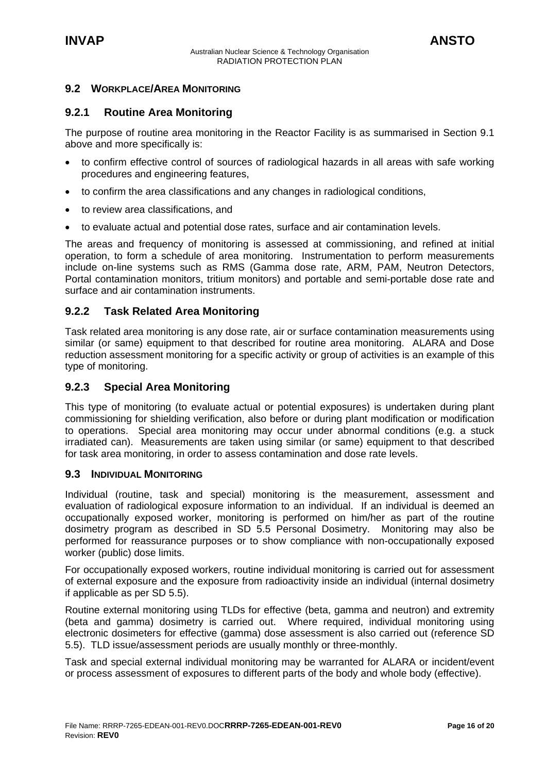<span id="page-15-0"></span>

# **9.2 WORKPLACE/AREA MONITORING**

# **9.2.1 Routine Area Monitoring**

The purpose of routine area monitoring in the Reactor Facility is as summarised in Section 9.1 above and more specifically is:

- to confirm effective control of sources of radiological hazards in all areas with safe working procedures and engineering features,
- to confirm the area classifications and any changes in radiological conditions,
- to review area classifications, and
- to evaluate actual and potential dose rates, surface and air contamination levels.

The areas and frequency of monitoring is assessed at commissioning, and refined at initial operation, to form a schedule of area monitoring. Instrumentation to perform measurements include on-line systems such as RMS (Gamma dose rate, ARM, PAM, Neutron Detectors, Portal contamination monitors, tritium monitors) and portable and semi-portable dose rate and surface and air contamination instruments.

# **9.2.2 Task Related Area Monitoring**

Task related area monitoring is any dose rate, air or surface contamination measurements using similar (or same) equipment to that described for routine area monitoring. ALARA and Dose reduction assessment monitoring for a specific activity or group of activities is an example of this type of monitoring.

# **9.2.3 Special Area Monitoring**

This type of monitoring (to evaluate actual or potential exposures) is undertaken during plant commissioning for shielding verification, also before or during plant modification or modification to operations. Special area monitoring may occur under abnormal conditions (e.g. a stuck irradiated can). Measurements are taken using similar (or same) equipment to that described for task area monitoring, in order to assess contamination and dose rate levels.

# **9.3 INDIVIDUAL MONITORING**

Individual (routine, task and special) monitoring is the measurement, assessment and evaluation of radiological exposure information to an individual. If an individual is deemed an occupationally exposed worker, monitoring is performed on him/her as part of the routine dosimetry program as described in SD 5.5 Personal Dosimetry. Monitoring may also be performed for reassurance purposes or to show compliance with non-occupationally exposed worker (public) dose limits.

For occupationally exposed workers, routine individual monitoring is carried out for assessment of external exposure and the exposure from radioactivity inside an individual (internal dosimetry if applicable as per SD 5.5).

Routine external monitoring using TLDs for effective (beta, gamma and neutron) and extremity (beta and gamma) dosimetry is carried out. Where required, individual monitoring using electronic dosimeters for effective (gamma) dose assessment is also carried out (reference SD 5.5). TLD issue/assessment periods are usually monthly or three-monthly.

Task and special external individual monitoring may be warranted for ALARA or incident/event or process assessment of exposures to different parts of the body and whole body (effective).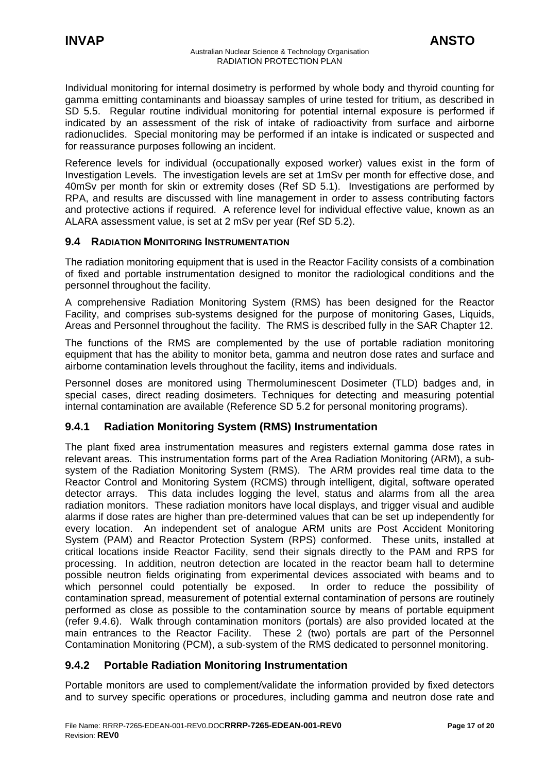<span id="page-16-0"></span>Individual monitoring for internal dosimetry is performed by whole body and thyroid counting for gamma emitting contaminants and bioassay samples of urine tested for tritium, as described in SD 5.5. Regular routine individual monitoring for potential internal exposure is performed if indicated by an assessment of the risk of intake of radioactivity from surface and airborne radionuclides. Special monitoring may be performed if an intake is indicated or suspected and for reassurance purposes following an incident.

Reference levels for individual (occupationally exposed worker) values exist in the form of Investigation Levels. The investigation levels are set at 1mSv per month for effective dose, and 40mSv per month for skin or extremity doses (Ref SD 5.1). Investigations are performed by RPA, and results are discussed with line management in order to assess contributing factors and protective actions if required. A reference level for individual effective value, known as an ALARA assessment value, is set at 2 mSv per year (Ref SD 5.2).

# **9.4 RADIATION MONITORING INSTRUMENTATION**

The radiation monitoring equipment that is used in the Reactor Facility consists of a combination of fixed and portable instrumentation designed to monitor the radiological conditions and the personnel throughout the facility.

A comprehensive Radiation Monitoring System (RMS) has been designed for the Reactor Facility, and comprises sub-systems designed for the purpose of monitoring Gases, Liquids, Areas and Personnel throughout the facility. The RMS is described fully in the SAR Chapter 12.

The functions of the RMS are complemented by the use of portable radiation monitoring equipment that has the ability to monitor beta, gamma and neutron dose rates and surface and airborne contamination levels throughout the facility, items and individuals.

Personnel doses are monitored using Thermoluminescent Dosimeter (TLD) badges and, in special cases, direct reading dosimeters. Techniques for detecting and measuring potential internal contamination are available (Reference SD 5.2 for personal monitoring programs).

# **9.4.1 Radiation Monitoring System (RMS) Instrumentation**

The plant fixed area instrumentation measures and registers external gamma dose rates in relevant areas. This instrumentation forms part of the Area Radiation Monitoring (ARM), a subsystem of the Radiation Monitoring System (RMS). The ARM provides real time data to the Reactor Control and Monitoring System (RCMS) through intelligent, digital, software operated detector arrays. This data includes logging the level, status and alarms from all the area radiation monitors. These radiation monitors have local displays, and trigger visual and audible alarms if dose rates are higher than pre-determined values that can be set up independently for every location. An independent set of analogue ARM units are Post Accident Monitoring System (PAM) and Reactor Protection System (RPS) conformed. These units, installed at critical locations inside Reactor Facility, send their signals directly to the PAM and RPS for processing. In addition, neutron detection are located in the reactor beam hall to determine possible neutron fields originating from experimental devices associated with beams and to which personnel could potentially be exposed. In order to reduce the possibility of contamination spread, measurement of potential external contamination of persons are routinely performed as close as possible to the contamination source by means of portable equipment (refer 9.4.6). Walk through contamination monitors (portals) are also provided located at the main entrances to the Reactor Facility. These 2 (two) portals are part of the Personnel Contamination Monitoring (PCM), a sub-system of the RMS dedicated to personnel monitoring.

# **9.4.2 Portable Radiation Monitoring Instrumentation**

Portable monitors are used to complement/validate the information provided by fixed detectors and to survey specific operations or procedures, including gamma and neutron dose rate and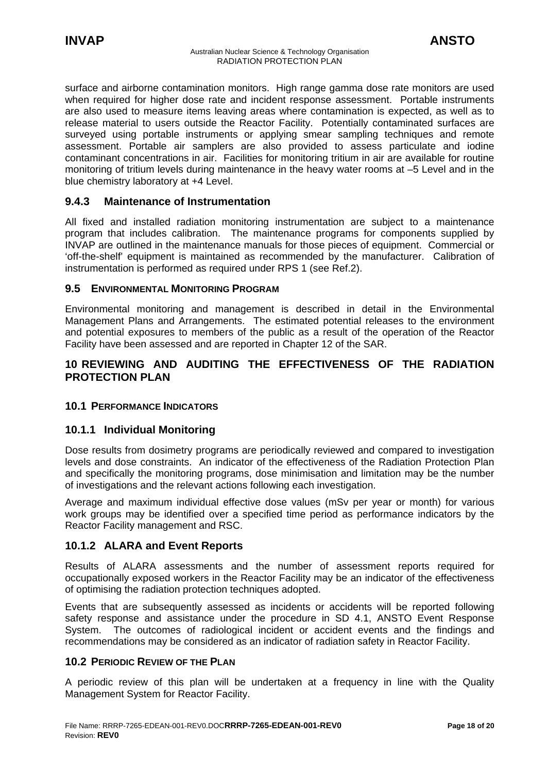<span id="page-17-0"></span>surface and airborne contamination monitors. High range gamma dose rate monitors are used when required for higher dose rate and incident response assessment. Portable instruments are also used to measure items leaving areas where contamination is expected, as well as to release material to users outside the Reactor Facility. Potentially contaminated surfaces are surveyed using portable instruments or applying smear sampling techniques and remote assessment. Portable air samplers are also provided to assess particulate and iodine contaminant concentrations in air. Facilities for monitoring tritium in air are available for routine monitoring of tritium levels during maintenance in the heavy water rooms at –5 Level and in the blue chemistry laboratory at +4 Level.

# **9.4.3 Maintenance of Instrumentation**

All fixed and installed radiation monitoring instrumentation are subject to a maintenance program that includes calibration. The maintenance programs for components supplied by INVAP are outlined in the maintenance manuals for those pieces of equipment. Commercial or 'off-the-shelf' equipment is maintained as recommended by the manufacturer. Calibration of instrumentation is performed as required under RPS 1 (see Ref.2).

#### **9.5 ENVIRONMENTAL MONITORING PROGRAM**

Environmental monitoring and management is described in detail in the Environmental Management Plans and Arrangements. The estimated potential releases to the environment and potential exposures to members of the public as a result of the operation of the Reactor Facility have been assessed and are reported in Chapter 12 of the SAR.

# **10 REVIEWING AND AUDITING THE EFFECTIVENESS OF THE RADIATION PROTECTION PLAN**

# **10.1 PERFORMANCE INDICATORS**

# **10.1.1 Individual Monitoring**

Dose results from dosimetry programs are periodically reviewed and compared to investigation levels and dose constraints. An indicator of the effectiveness of the Radiation Protection Plan and specifically the monitoring programs, dose minimisation and limitation may be the number of investigations and the relevant actions following each investigation.

Average and maximum individual effective dose values (mSv per year or month) for various work groups may be identified over a specified time period as performance indicators by the Reactor Facility management and RSC.

# **10.1.2 ALARA and Event Reports**

Results of ALARA assessments and the number of assessment reports required for occupationally exposed workers in the Reactor Facility may be an indicator of the effectiveness of optimising the radiation protection techniques adopted.

Events that are subsequently assessed as incidents or accidents will be reported following safety response and assistance under the procedure in SD 4.1, ANSTO Event Response System. The outcomes of radiological incident or accident events and the findings and recommendations may be considered as an indicator of radiation safety in Reactor Facility.

#### **10.2 PERIODIC REVIEW OF THE PLAN**

A periodic review of this plan will be undertaken at a frequency in line with the Quality Management System for Reactor Facility.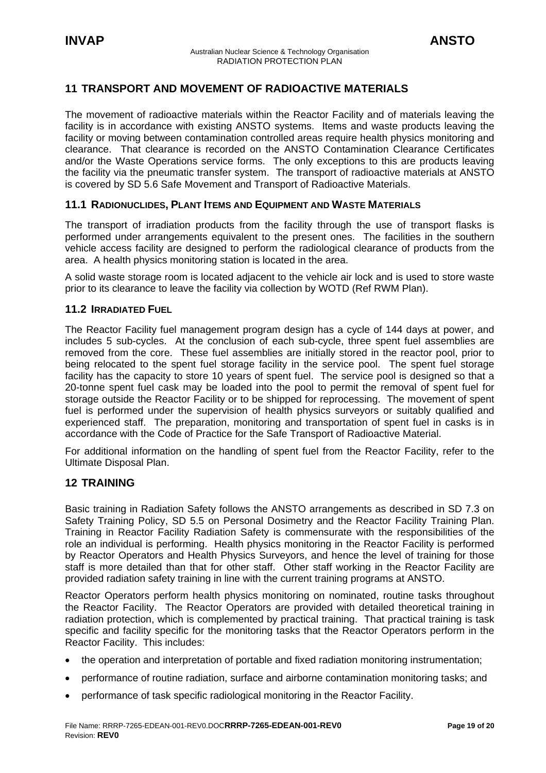# <span id="page-18-0"></span>**11 TRANSPORT AND MOVEMENT OF RADIOACTIVE MATERIALS**

The movement of radioactive materials within the Reactor Facility and of materials leaving the facility is in accordance with existing ANSTO systems. Items and waste products leaving the facility or moving between contamination controlled areas require health physics monitoring and clearance. That clearance is recorded on the ANSTO Contamination Clearance Certificates and/or the Waste Operations service forms. The only exceptions to this are products leaving the facility via the pneumatic transfer system. The transport of radioactive materials at ANSTO is covered by SD 5.6 Safe Movement and Transport of Radioactive Materials.

# **11.1 RADIONUCLIDES, PLANT ITEMS AND EQUIPMENT AND WASTE MATERIALS**

The transport of irradiation products from the facility through the use of transport flasks is performed under arrangements equivalent to the present ones. The facilities in the southern vehicle access facility are designed to perform the radiological clearance of products from the area. A health physics monitoring station is located in the area.

A solid waste storage room is located adjacent to the vehicle air lock and is used to store waste prior to its clearance to leave the facility via collection by WOTD (Ref RWM Plan).

# **11.2 IRRADIATED FUEL**

The Reactor Facility fuel management program design has a cycle of 144 days at power, and includes 5 sub-cycles. At the conclusion of each sub-cycle, three spent fuel assemblies are removed from the core. These fuel assemblies are initially stored in the reactor pool, prior to being relocated to the spent fuel storage facility in the service pool. The spent fuel storage facility has the capacity to store 10 years of spent fuel. The service pool is designed so that a 20-tonne spent fuel cask may be loaded into the pool to permit the removal of spent fuel for storage outside the Reactor Facility or to be shipped for reprocessing. The movement of spent fuel is performed under the supervision of health physics surveyors or suitably qualified and experienced staff. The preparation, monitoring and transportation of spent fuel in casks is in accordance with the Code of Practice for the Safe Transport of Radioactive Material.

For additional information on the handling of spent fuel from the Reactor Facility, refer to the Ultimate Disposal Plan.

# **12 TRAINING**

Basic training in Radiation Safety follows the ANSTO arrangements as described in SD 7.3 on Safety Training Policy, SD 5.5 on Personal Dosimetry and the Reactor Facility Training Plan. Training in Reactor Facility Radiation Safety is commensurate with the responsibilities of the role an individual is performing. Health physics monitoring in the Reactor Facility is performed by Reactor Operators and Health Physics Surveyors, and hence the level of training for those staff is more detailed than that for other staff. Other staff working in the Reactor Facility are provided radiation safety training in line with the current training programs at ANSTO.

Reactor Operators perform health physics monitoring on nominated, routine tasks throughout the Reactor Facility. The Reactor Operators are provided with detailed theoretical training in radiation protection, which is complemented by practical training. That practical training is task specific and facility specific for the monitoring tasks that the Reactor Operators perform in the Reactor Facility. This includes:

- the operation and interpretation of portable and fixed radiation monitoring instrumentation;
- performance of routine radiation, surface and airborne contamination monitoring tasks; and
- performance of task specific radiological monitoring in the Reactor Facility.